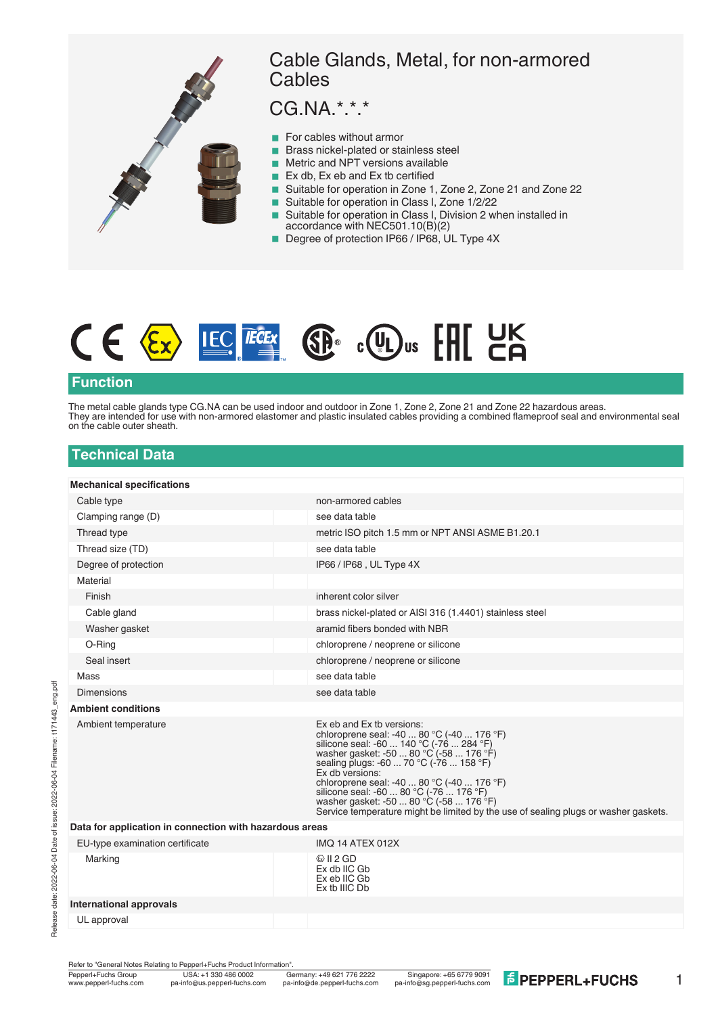



#### **Function**

The metal cable glands type CG.NA can be used indoor and outdoor in Zone 1, Zone 2, Zone 21 and Zone 22 hazardous areas. They are intended for use with non-armored elastomer and plastic insulated cables providing a combined flameproof seal and environmental seal on the cable outer sheath.

### **Technical Data**

| <b>Mechanical specifications</b>                        |                                                                                                                                                                                                                                                                                                                                                                                                                                                         |
|---------------------------------------------------------|---------------------------------------------------------------------------------------------------------------------------------------------------------------------------------------------------------------------------------------------------------------------------------------------------------------------------------------------------------------------------------------------------------------------------------------------------------|
| Cable type                                              | non-armored cables                                                                                                                                                                                                                                                                                                                                                                                                                                      |
| Clamping range (D)                                      | see data table                                                                                                                                                                                                                                                                                                                                                                                                                                          |
| Thread type                                             | metric ISO pitch 1.5 mm or NPT ANSI ASME B1.20.1                                                                                                                                                                                                                                                                                                                                                                                                        |
| Thread size (TD)                                        | see data table                                                                                                                                                                                                                                                                                                                                                                                                                                          |
| Degree of protection                                    | IP66 / IP68, UL Type 4X                                                                                                                                                                                                                                                                                                                                                                                                                                 |
| Material                                                |                                                                                                                                                                                                                                                                                                                                                                                                                                                         |
| Finish                                                  | inherent color silver                                                                                                                                                                                                                                                                                                                                                                                                                                   |
| Cable gland                                             | brass nickel-plated or AISI 316 (1.4401) stainless steel                                                                                                                                                                                                                                                                                                                                                                                                |
| Washer gasket                                           | aramid fibers bonded with NBR                                                                                                                                                                                                                                                                                                                                                                                                                           |
| O-Ring                                                  | chloroprene / neoprene or silicone                                                                                                                                                                                                                                                                                                                                                                                                                      |
| Seal insert                                             | chloroprene / neoprene or silicone                                                                                                                                                                                                                                                                                                                                                                                                                      |
| Mass                                                    | see data table                                                                                                                                                                                                                                                                                                                                                                                                                                          |
| <b>Dimensions</b>                                       | see data table                                                                                                                                                                                                                                                                                                                                                                                                                                          |
| <b>Ambient conditions</b>                               |                                                                                                                                                                                                                                                                                                                                                                                                                                                         |
| Ambient temperature                                     | Ex eb and Ex tb versions:<br>chloroprene seal: -40  80 °C (-40  176 °F)<br>silicone seal: -60  140 °C (-76  284 °F)<br>washer gasket: -50  80 °C (-58  176 °F)<br>sealing plugs: -60  70 °C (-76  158 °F)<br>Ex db versions:<br>chloroprene seal: -40  80 °C (-40  176 °F)<br>silicone seal: -60  80 °C (-76  176 °F)<br>washer gasket: -50  80 °C (-58  176 °F)<br>Service temperature might be limited by the use of sealing plugs or washer gaskets. |
| Data for application in connection with hazardous areas |                                                                                                                                                                                                                                                                                                                                                                                                                                                         |
| EU-type examination certificate                         | <b>IMO 14 ATEX 012X</b>                                                                                                                                                                                                                                                                                                                                                                                                                                 |
| Marking                                                 | $\&$ II 2 GD<br>Ex db IIC Gb<br>Ex eb IIC Gb<br>Ex tb IIIC Db                                                                                                                                                                                                                                                                                                                                                                                           |
| International approvals                                 |                                                                                                                                                                                                                                                                                                                                                                                                                                                         |
| UL approval                                             |                                                                                                                                                                                                                                                                                                                                                                                                                                                         |
|                                                         |                                                                                                                                                                                                                                                                                                                                                                                                                                                         |

Refer to "General Notes Relating to Pepperl+Fuchs Product Information"<br>Pepperl+Fuchs Group USA: +1 330 486 0002 G

1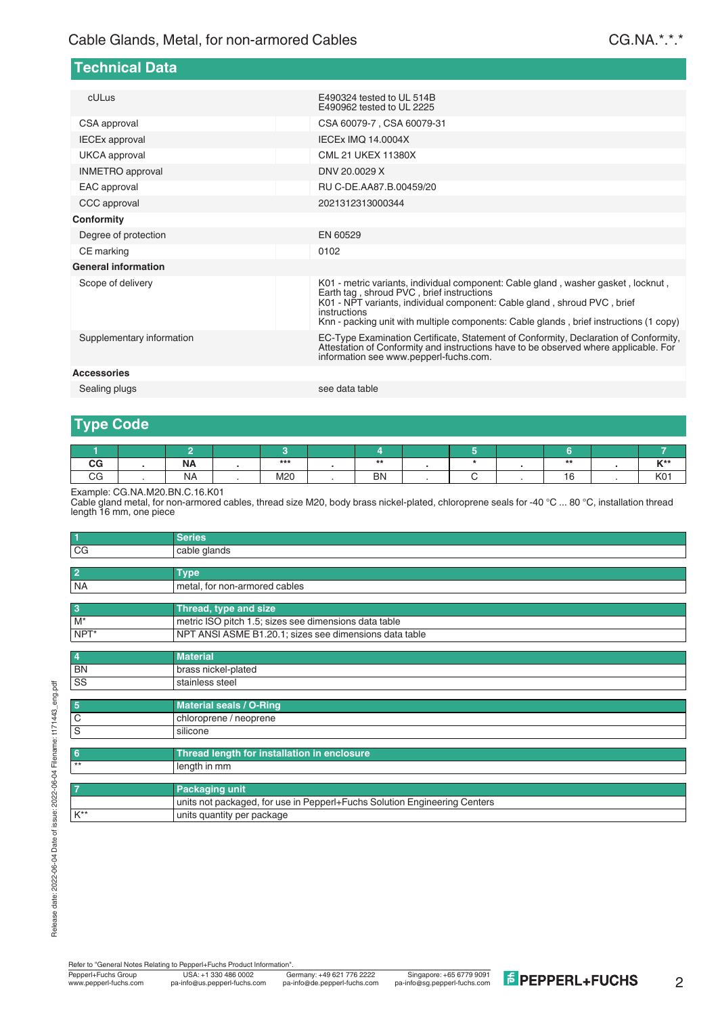| cULus                      | E490324 tested to UL 514B<br>E490962 tested to UL 2225                                                                                                                                                                                                                                                               |
|----------------------------|----------------------------------------------------------------------------------------------------------------------------------------------------------------------------------------------------------------------------------------------------------------------------------------------------------------------|
| CSA approval               | CSA 60079-7, CSA 60079-31                                                                                                                                                                                                                                                                                            |
| <b>IECEx approval</b>      | <b>IECEX IMO 14.0004X</b>                                                                                                                                                                                                                                                                                            |
| UKCA approval              | CML 21 UKEX 11380X                                                                                                                                                                                                                                                                                                   |
| <b>INMETRO</b> approval    | DNV 20.0029 X                                                                                                                                                                                                                                                                                                        |
| EAC approval               | RU C-DE.AA87.B.00459/20                                                                                                                                                                                                                                                                                              |
| CCC approval               | 2021312313000344                                                                                                                                                                                                                                                                                                     |
| <b>Conformity</b>          |                                                                                                                                                                                                                                                                                                                      |
| Degree of protection       | EN 60529                                                                                                                                                                                                                                                                                                             |
| CE marking                 | 0102                                                                                                                                                                                                                                                                                                                 |
| <b>General information</b> |                                                                                                                                                                                                                                                                                                                      |
| Scope of delivery          | K01 - metric variants, individual component: Cable gland, washer gasket, locknut,<br>Earth tag, shroud PVC, brief instructions<br>K01 - NPT variants, individual component: Cable gland, shroud PVC, brief<br>instructions<br>Knn - packing unit with multiple components: Cable glands, brief instructions (1 copy) |
| Supplementary information  | EC-Type Examination Certificate, Statement of Conformity, Declaration of Conformity,<br>Attestation of Conformity and instructions have to be observed where applicable. For<br>information see www.pepperl-fuchs.com.                                                                                               |
| <b>Accessories</b>         |                                                                                                                                                                                                                                                                                                                      |
| Sealing plugs              | see data table                                                                                                                                                                                                                                                                                                       |

**Technical Data**

#### **Type Code**

| $V^{\star\star}$ |
|------------------|
| 1704<br>nu '     |
|                  |

Example: CG.NA.M20.BN.C.16.K01

Cable gland metal, for non-armored cables, thread size M20, body brass nickel-plated, chloroprene seals for -40 °C ... 80 °C, installation thread length 16 mm, one piece

| $\vert$                 | <b>Series</b>                                                             |
|-------------------------|---------------------------------------------------------------------------|
| CG                      | cable glands                                                              |
|                         |                                                                           |
| $\overline{2}$          | <b>Type</b>                                                               |
| <b>NA</b>               | metal, for non-armored cables                                             |
| $\overline{\mathbf{3}}$ | Thread, type and size                                                     |
|                         |                                                                           |
| $M^*$                   | metric ISO pitch 1.5; sizes see dimensions data table                     |
| NPT*                    | NPT ANSI ASME B1.20.1; sizes see dimensions data table                    |
|                         |                                                                           |
| $\boldsymbol{4}$        | <b>Material</b>                                                           |
| <b>BN</b>               | brass nickel-plated                                                       |
| SS                      | stainless steel                                                           |
| 5                       | <b>Material seals / O-Ring</b>                                            |
|                         |                                                                           |
| C                       | chloroprene / neoprene                                                    |
| S                       | silicone                                                                  |
| -6                      | Thread length for installation in enclosure                               |
| $**$                    | length in mm                                                              |
|                         |                                                                           |
|                         | <b>Packaging unit</b>                                                     |
|                         | units not packaged, for use in Pepperl+Fuchs Solution Engineering Centers |
| $K^{**}$                | units quantity per package                                                |

Refer to "General Notes Relating to Pepperl+Fuchs Product Information"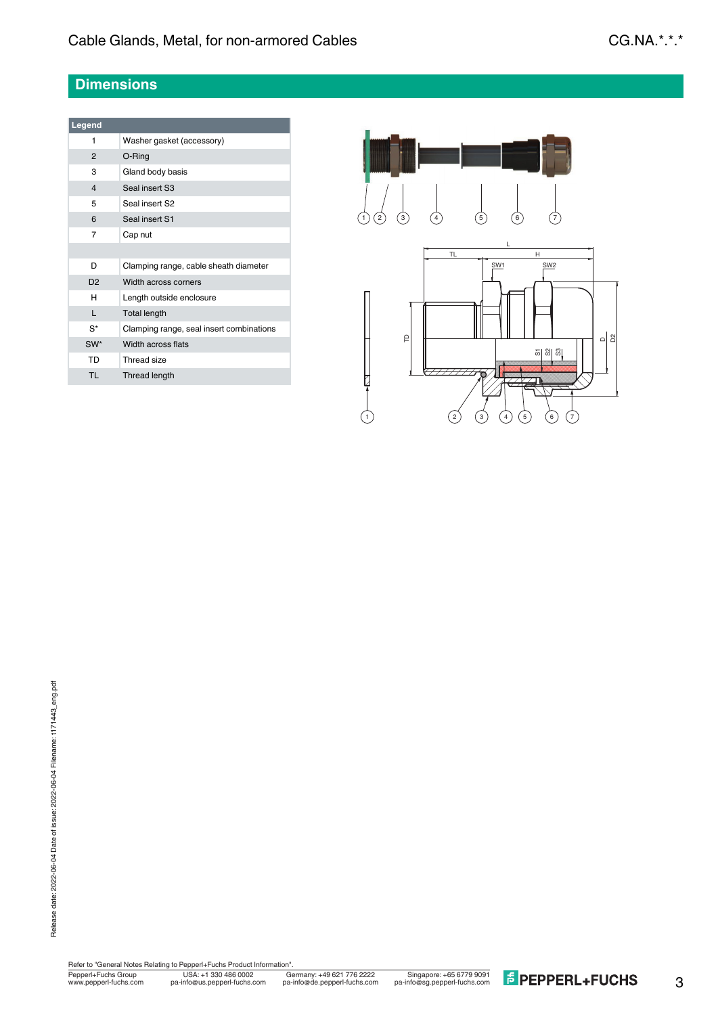# **Dimensions**

| Legend          |                                          |
|-----------------|------------------------------------------|
| 1               | Washer gasket (accessory)                |
| $\mathcal{P}$   | O-Ring                                   |
| 3               | Gland body basis                         |
| $\overline{4}$  | Seal insert S3                           |
| 5               | Seal insert S2                           |
| 6               | Seal insert S1                           |
| 7               | Cap nut                                  |
|                 |                                          |
| D               | Clamping range, cable sheath diameter    |
| D <sub>2</sub>  | Width across corners                     |
| н               | Length outside enclosure                 |
| L               | <b>Total length</b>                      |
| $S^*$           | Clamping range, seal insert combinations |
| SW <sup>*</sup> | Width across flats                       |
| TD              | Thread size                              |
| <b>TI</b>       | Thread length                            |



USA: +1 330 486 0002 Singapore: +65 6779 9091 www.pepperl-fuchs.com pa-info@us.pepperl-fuchs.com pa-info@sg.pepperl-fuchs.com pa-info@de.pepperl-fuchs.com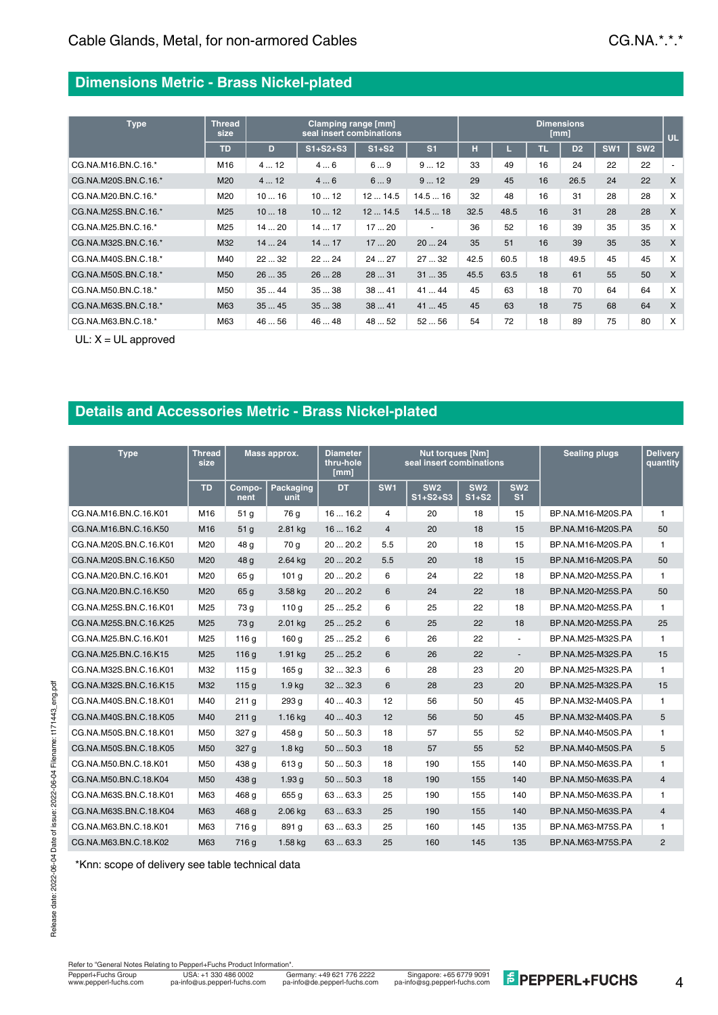### **Dimensions Metric - Brass Nickel-plated**

| <b>Type</b>          | <b>Thread</b><br>size |      | Clamping range [mm]<br>seal insert combinations | <b>Dimensions</b><br>[mm] |                          |      |      |    |                |                 |                 |                          |
|----------------------|-----------------------|------|-------------------------------------------------|---------------------------|--------------------------|------|------|----|----------------|-----------------|-----------------|--------------------------|
|                      | <b>TD</b>             | D    | $S1 + S2 + S3$                                  | $S1+S2$                   | S <sub>1</sub>           | н    |      | ٦R | D <sub>2</sub> | SW <sub>1</sub> | SW <sub>2</sub> |                          |
| CG.NA.M16.BN.C.16.*  | M16                   | 412  | 46                                              | 69                        | 912                      | 33   | 49   | 16 | 24             | 22              | 22              | $\overline{\phantom{a}}$ |
| CG.NA.M20S.BN.C.16.* | M20                   | 412  | 46                                              | 69                        | 912                      | 29   | 45   | 16 | 26.5           | 24              | 22              | X                        |
| CG.NA.M20.BN.C.16.*  | M20                   | 1016 | 1012                                            | 1214.5                    | 14.516                   | 32   | 48   | 16 | 31             | 28              | 28              | $\times$                 |
| CG.NA.M25S.BN.C.16.* | M <sub>25</sub>       | 1018 | 1012                                            | 1214.5                    | 14.518                   | 32.5 | 48.5 | 16 | 31             | 28              | 28              | $\mathsf{x}$             |
| CG.NA.M25.BN.C.16.*  | M25                   | 1420 | 1417                                            | 1720                      | $\overline{\phantom{a}}$ | 36   | 52   | 16 | 39             | 35              | 35              | X                        |
| CG.NA.M32S.BN.C.16.* | M32                   | 1424 | 1417                                            | 1720                      | 2024                     | 35   | 51   | 16 | 39             | 35              | 35              | X                        |
| CG.NA.M40S.BN.C.18.* | M40                   | 2232 | 2224                                            | 2427                      | 2732                     | 42.5 | 60.5 | 18 | 49.5           | 45              | 45              | $\times$                 |
| CG.NA.M50S.BN.C.18.* | M <sub>50</sub>       | 2635 | 2628                                            | 2831                      | 3135                     | 45.5 | 63.5 | 18 | 61             | 55              | 50              | X                        |
| CG.NA.M50.BN.C.18.*  | M50                   | 3544 | 3538                                            | 3841                      | 4144                     | 45   | 63   | 18 | 70             | 64              | 64              | $\times$                 |
| CG.NA.M63S.BN.C.18.* | M63                   | 3545 | 3538                                            | 3841                      | 4145                     | 45   | 63   | 18 | 75             | 68              | 64              | $\mathsf{x}$             |
| CG.NA.M63.BN.C.18.*  | M63                   | 4656 | 4648                                            | 48  52                    | 5256                     | 54   | 72   | 18 | 89             | 75              | 80              | X                        |

UL: X = UL approved

# **Details and Accessories Metric - Brass Nickel-plated**

| <b>Type</b>            | Thread<br>size  |                  | Mass approx.             | Diameter<br>thru-hole<br>[mm] |                 | <b>Nut torques [Nm]</b><br>seal insert combinations | <b>Sealing plugs</b>       | <b>Delivery</b><br>quantity       |                   |                |
|------------------------|-----------------|------------------|--------------------------|-------------------------------|-----------------|-----------------------------------------------------|----------------------------|-----------------------------------|-------------------|----------------|
|                        | <b>TD</b>       | Compo-<br>nent   | <b>Packaging</b><br>unit | <b>DT</b>                     | SW <sub>1</sub> | SW <sub>2</sub><br>$S1+S2+S3$                       | SW <sub>2</sub><br>$S1+S2$ | SW <sub>2</sub><br>S <sub>1</sub> |                   |                |
| CG.NA.M16.BN.C.16.K01  | M16             | 51 <sub>q</sub>  | 76 g                     | 1616.2                        | 4               | 20                                                  | 18                         | 15                                | BP.NA.M16-M20S.PA | 1              |
| CG.NA.M16.BN.C.16.K50  | M <sub>16</sub> | 51 <sub>g</sub>  | 2.81 kg                  | 1616.2                        | $\overline{4}$  | 20                                                  | 18                         | 15                                | BP.NA.M16-M20S.PA | 50             |
| CG.NA.M20S.BN.C.16.K01 | M20             | 48 g             | 70 g                     | 2020.2                        | 5.5             | 20                                                  | 18                         | 15                                | BP.NA.M16-M20S.PA | $\mathbf{1}$   |
| CG.NA.M20S.BN.C.16.K50 | M20             | 48 g             | 2.64 kg                  | 2020.2                        | 5.5             | 20                                                  | 18                         | 15                                | BP.NA.M16-M20S.PA | 50             |
| CG.NA.M20.BN.C.16.K01  | M20             | 65 g             | 101 <sub>q</sub>         | 2020.2                        | 6               | 24                                                  | 22                         | 18                                | BP.NA.M20-M25S.PA | $\mathbf{1}$   |
| CG.NA.M20.BN.C.16.K50  | M20             | 65 <sub>g</sub>  | 3.58 kg                  | 20  20.2                      | 6               | 24                                                  | 22                         | 18                                | BP.NA.M20-M25S.PA | 50             |
| CG.NA.M25S.BN.C.16.K01 | M25             | 73 g             | 110q                     | 25  25.2                      | 6               | 25                                                  | 22                         | 18                                | BP.NA.M20-M25S.PA | $\mathbf{1}$   |
| CG.NA.M25S.BN.C.16.K25 | M25             | 73 g             | 2.01 kg                  | 2525.2                        | 6               | 25                                                  | 22                         | 18                                | BP.NA.M20-M25S.PA | 25             |
| CG.NA.M25.BN.C.16.K01  | M25             | 116 g            | 160 g                    | 2525.2                        | 6               | 26                                                  | 22                         | $\blacksquare$                    | BP.NA.M25-M32S.PA | 1              |
| CG.NA.M25.BN.C.16.K15  | M25             | 116 <sub>g</sub> | 1.91 kg                  | 25  25.2                      | 6               | 26                                                  | 22                         | $\blacksquare$                    | BP.NA.M25-M32S.PA | 15             |
| CG.NA.M32S.BN.C.16.K01 | M32             | 115q             | 165 g                    | 3232.3                        | 6               | 28                                                  | 23                         | 20                                | BP.NA.M25-M32S.PA | $\mathbf{1}$   |
| CG.NA.M32S.BN.C.16.K15 | M32             | 115q             | 1.9 <sub>kg</sub>        | 3232.3                        | 6               | 28                                                  | 23                         | 20                                | BP.NA.M25-M32S.PA | 15             |
| CG.NA.M40S.BN.C.18.K01 | M40             | 211g             | 293 g                    | 4040.3                        | 12              | 56                                                  | 50                         | 45                                | BP.NA.M32-M40S.PA | 1              |
| CG.NA.M40S.BN.C.18.K05 | M40             | 211q             | $1.16$ kg                | 4040.3                        | 12              | 56                                                  | 50                         | 45                                | BP.NA.M32-M40S.PA | 5              |
| CG.NA.M50S.BN.C.18.K01 | M50             | 327 g            | 458 g                    | 5050.3                        | 18              | 57                                                  | 55                         | 52                                | BP.NA.M40-M50S.PA | 1              |
| CG.NA.M50S.BN.C.18.K05 | M50             | 327 g            | 1.8 <sub>kq</sub>        | 5050.3                        | 18              | 57                                                  | 55                         | 52                                | BP.NA.M40-M50S.PA | 5              |
| CG.NA.M50.BN.C.18.K01  | M50             | 438 g            | 613 g                    | 5050.3                        | 18              | 190                                                 | 155                        | 140                               | BP.NA.M50-M63S.PA | $\mathbf{1}$   |
| CG.NA.M50.BN.C.18.K04  | M50             | 438 g            | 1.93 <sub>q</sub>        | 5050.3                        | 18              | 190                                                 | 155                        | 140                               | BP.NA.M50-M63S.PA | 4              |
| CG.NA.M63S.BN.C.18.K01 | M63             | 468 g            | 655 g                    | 6363.3                        | 25              | 190                                                 | 155                        | 140                               | BP.NA.M50-M63S.PA | $\mathbf{1}$   |
| CG.NA.M63S.BN.C.18.K04 | M63             | 468 g            | 2.06 kg                  | 6363.3                        | 25              | 190                                                 | 155                        | 140                               | BP.NA.M50-M63S.PA | 4              |
| CG.NA.M63.BN.C.18.K01  | M63             | 716 g            | 891 g                    | 6363.3                        | 25              | 160                                                 | 145                        | 135                               | BP.NA.M63-M75S.PA | $\mathbf{1}$   |
| CG.NA.M63.BN.C.18.K02  | M63             | 716 g            | 1.58 kg                  | 6363.3                        | 25              | 160                                                 | 145                        | 135                               | BP.NA.M63-M75S.PA | $\overline{2}$ |

\*Knn: scope of delivery see table technical data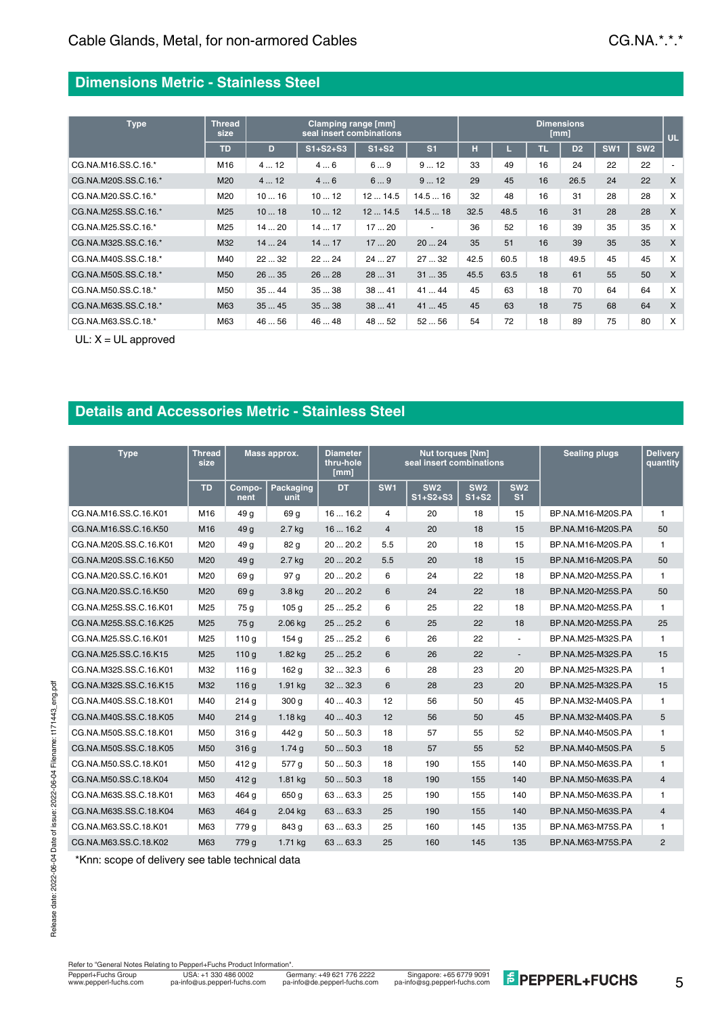# **Dimensions Metric - Stainless Steel**

| <b>Type</b>          | <b>Thread</b><br>size |      | Clamping range [mm]<br>seal insert combinations | <b>Dimensions</b><br>[mm] |                          |      |      |     |                |                 |                 |                          |
|----------------------|-----------------------|------|-------------------------------------------------|---------------------------|--------------------------|------|------|-----|----------------|-----------------|-----------------|--------------------------|
|                      | <b>TD</b>             | D    | $S1 + S2 + S3$                                  | $S1+S2$                   | S <sub>1</sub>           | н    |      | TR. | D <sub>2</sub> | SW <sub>1</sub> | SW <sub>2</sub> |                          |
| CG.NA.M16.SS.C.16.*  | M16                   | 412  | 46                                              | 69                        | 912                      | 33   | 49   | 16  | 24             | 22              | 22              | $\overline{\phantom{a}}$ |
| CG.NA.M20S.SS.C.16.* | M20                   | 412  | 46                                              | 69                        | 912                      | 29   | 45   | 16  | 26.5           | 24              | 22              | X                        |
| CG.NA.M20.SS.C.16.*  | M20                   | 1016 | 1012                                            | 1214.5                    | 14.516                   | 32   | 48   | 16  | 31             | 28              | 28              | $\times$                 |
| CG.NA.M25S.SS.C.16.* | M <sub>25</sub>       | 1018 | 1012                                            | 1214.5                    | 14.518                   | 32.5 | 48.5 | 16  | 31             | 28              | 28              | $\mathsf{x}$             |
| CG.NA.M25.SS.C.16.*  | M25                   | 1420 | 1417                                            | 1720                      | $\overline{\phantom{a}}$ | 36   | 52   | 16  | 39             | 35              | 35              | X                        |
| CG.NA.M32S.SS.C.16.* | M32                   | 1424 | 1417                                            | 1720                      | 2024                     | 35   | 51   | 16  | 39             | 35              | 35              | X                        |
| CG.NA.M40S.SS.C.18.* | M40                   | 2232 | 2224                                            | 2427                      | 2732                     | 42.5 | 60.5 | 18  | 49.5           | 45              | 45              | X                        |
| CG.NA.M50S.SS.C.18.* | M <sub>50</sub>       | 2635 | 2628                                            | 2831                      | 3135                     | 45.5 | 63.5 | 18  | 61             | 55              | 50              | X                        |
| CG.NA.M50.SS.C.18.*  | M50                   | 3544 | 3538                                            | 3841                      | 4144                     | 45   | 63   | 18  | 70             | 64              | 64              | $\times$                 |
| CG.NA.M63S.SS.C.18.* | M63                   | 3545 | 3538                                            | 3841                      | 41  45                   | 45   | 63   | 18  | 75             | 68              | 64              | $\mathsf{x}$             |
| CG.NA.M63.SS.C.18.*  | M63                   | 4656 | 4648                                            | 48  52                    | 5256                     | 54   | 72   | 18  | 89             | 75              | 80              | X                        |

UL: X = UL approved

### **Details and Accessories Metric - Stainless Steel**

| <b>Type</b>            | <b>Thread</b><br>size |                  | Mass approx.      | Diameter<br>thru-hole<br>[mm] |                 | <b>Nut torques [Nm]</b><br>seal insert combinations |                            | <b>Sealing plugs</b>              | <b>Delivery</b><br>quantity |                |
|------------------------|-----------------------|------------------|-------------------|-------------------------------|-----------------|-----------------------------------------------------|----------------------------|-----------------------------------|-----------------------------|----------------|
|                        | <b>TD</b>             | Compo-<br>nent   | Packaging<br>unit | <b>DT</b>                     | SW <sub>1</sub> | SW <sub>2</sub><br>$S1 + S2 + S3$                   | SW <sub>2</sub><br>$S1+S2$ | SW <sub>2</sub><br>S <sub>1</sub> |                             |                |
| CG.NA.M16.SS.C.16.K01  | M16                   | 49 g             | 69 g              | 1616.2                        | 4               | 20                                                  | 18                         | 15                                | BP.NA.M16-M20S.PA           | 1              |
| CG.NA.M16.SS.C.16.K50  | M16                   | 49 <sub>g</sub>  | $2.7$ kg          | 1616.2                        | $\overline{4}$  | 20                                                  | 18                         | 15                                | BP.NA.M16-M20S.PA           | 50             |
| CG.NA.M20S.SS.C.16.K01 | M20                   | 49 g             | 82 g              | 2020.2                        | 5.5             | 20                                                  | 18                         | 15                                | BP.NA.M16-M20S.PA           | $\mathbf{1}$   |
| CG.NA.M20S.SS.C.16.K50 | M20                   | 49 g             | $2.7$ kg          | 2020.2                        | 5.5             | 20                                                  | 18                         | 15                                | BP.NA.M16-M20S.PA           | 50             |
| CG.NA.M20.SS.C.16.K01  | M20                   | 69 g             | 97 <sub>q</sub>   | 2020.2                        | 6               | 24                                                  | 22                         | 18                                | BP.NA.M20-M25S.PA           | $\mathbf{1}$   |
| CG.NA.M20.SS.C.16.K50  | M20                   | 69 g             | 3.8 kg            | 2020.2                        | 6               | 24                                                  | 22                         | 18                                | BP.NA.M20-M25S.PA           | 50             |
| CG.NA.M25S.SS.C.16.K01 | M25                   | 75 g             | 105 <sub>q</sub>  | 2525.2                        | 6               | 25                                                  | 22                         | 18                                | BP.NA.M20-M25S.PA           | $\mathbf{1}$   |
| CG.NA.M25S.SS.C.16.K25 | M25                   | 75 g             | 2.06 kg           | 2525.2                        | 6               | 25                                                  | 22                         | 18                                | BP.NA.M20-M25S.PA           | 25             |
| CG.NA.M25.SS.C.16.K01  | M25                   | 110 <sub>g</sub> | 154 g             | 2525.2                        | 6               | 26                                                  | 22                         | ÷.                                | BP.NA.M25-M32S.PA           | $\mathbf{1}$   |
| CG.NA.M25.SS.C.16.K15  | M25                   | 110q             | 1.82 kg           | 25  25.2                      | 6               | 26                                                  | 22                         | $\blacksquare$                    | BP.NA.M25-M32S.PA           | 15             |
| CG.NA.M32S.SS.C.16.K01 | M32                   | 116 g            | 162 g             | 3232.3                        | 6               | 28                                                  | 23                         | 20                                | BP.NA.M25-M32S.PA           | $\mathbf{1}$   |
| CG.NA.M32S.SS.C.16.K15 | M32                   | 116q             | 1.91 kg           | 3232.3                        | 6               | 28                                                  | 23                         | 20                                | BP.NA.M25-M32S.PA           | 15             |
| CG.NA.M40S.SS.C.18.K01 | M40                   | 214q             | 300 <sub>q</sub>  | 4040.3                        | 12              | 56                                                  | 50                         | 45                                | BP.NA.M32-M40S.PA           | 1.             |
| CG.NA.M40S.SS.C.18.K05 | M40                   | 214q             | $1.18$ kg         | 4040.3                        | 12              | 56                                                  | 50                         | 45                                | BP.NA.M32-M40S.PA           | 5              |
| CG.NA.M50S.SS.C.18.K01 | M50                   | 316 g            | 442 g             | 5050.3                        | 18              | 57                                                  | 55                         | 52                                | BP.NA.M40-M50S.PA           | 1              |
| CG.NA.M50S.SS.C.18.K05 | M50                   | 316q             | 1.74q             | 5050.3                        | 18              | 57                                                  | 55                         | 52                                | BP.NA.M40-M50S.PA           | 5              |
| CG.NA.M50.SS.C.18.K01  | M50                   | 412 g            | 577 g             | 5050.3                        | 18              | 190                                                 | 155                        | 140                               | BP.NA.M50-M63S.PA           | 1              |
| CG.NA.M50.SS.C.18.K04  | M50                   | 412 g            | 1.81 kg           | 5050.3                        | 18              | 190                                                 | 155                        | 140                               | BP.NA.M50-M63S.PA           | 4              |
| CG.NA.M63S.SS.C.18.K01 | M63                   | 464 g            | 650 g             | 6363.3                        | 25              | 190                                                 | 155                        | 140                               | BP.NA.M50-M63S.PA           | 1              |
| CG.NA.M63S.SS.C.18.K04 | M63                   | 464 g            | $2.04$ kg         | 6363.3                        | 25              | 190                                                 | 155                        | 140                               | BP.NA.M50-M63S.PA           | 4              |
| CG.NA.M63.SS.C.18.K01  | M63                   | 779 g            | 843 g             | 6363.3                        | 25              | 160                                                 | 145                        | 135                               | BP.NA.M63-M75S.PA           | 1              |
| CG.NA.M63.SS.C.18.K02  | M63                   | 779 g            | 1.71 kg           | 6363.3                        | 25              | 160                                                 | 145                        | 135                               | BP.NA.M63-M75S.PA           | $\overline{2}$ |

\*Knn: scope of delivery see table technical data

Refer to "General Notes Relating to Pepperl+Fuchs Product Information".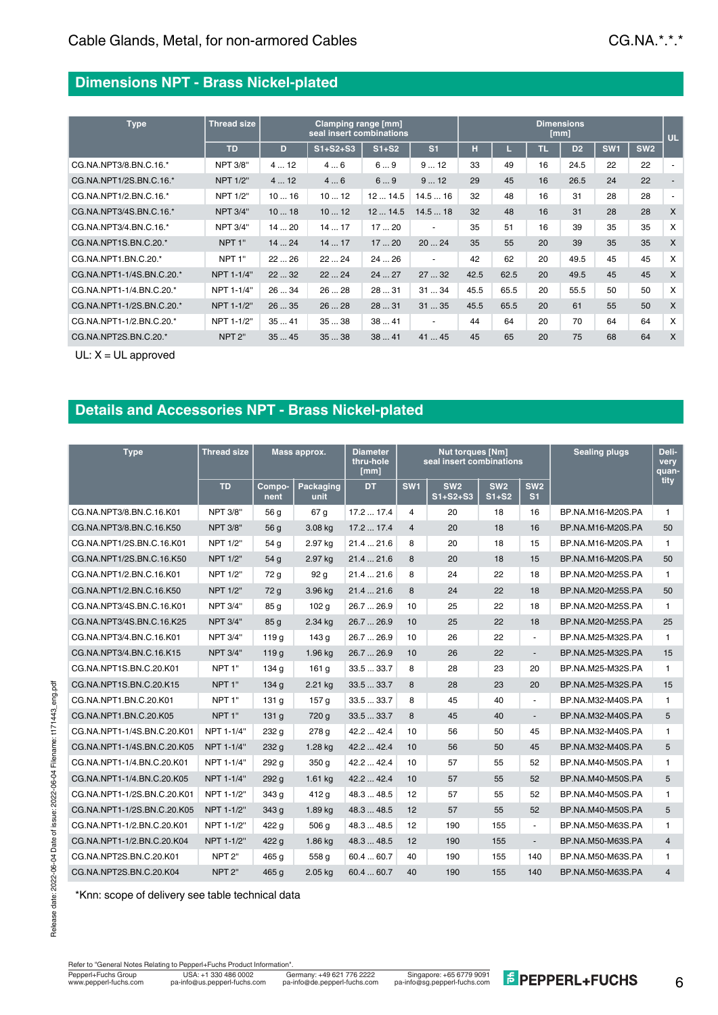#### **Dimensions NPT - Brass Nickel-plated**

| <b>Type</b>               | <b>Thread size</b> |      | Clamping range [mm]<br>seal insert combinations | <b>Dimensions</b><br>[mm] |                          |      |      |    |                |                 |                 |                           |
|---------------------------|--------------------|------|-------------------------------------------------|---------------------------|--------------------------|------|------|----|----------------|-----------------|-----------------|---------------------------|
|                           | <b>TD</b>          | D.   | $S1 + S2 + S3$                                  | $S1+S2$                   | S <sub>1</sub>           | н    | L.   | ПL | D <sub>2</sub> | SW <sub>1</sub> | SW <sub>2</sub> |                           |
| CG.NA.NPT3/8.BN.C.16.*    | <b>NPT 3/8"</b>    | 412  | 46                                              | 69                        | 912                      | 33   | 49   | 16 | 24.5           | 22              | 22              |                           |
| CG.NA.NPT1/2S.BN.C.16.*   | <b>NPT 1/2"</b>    | 412  | 46                                              | 69                        | 912                      | 29   | 45   | 16 | 26.5           | 24              | 22              |                           |
| CG.NA.NPT1/2.BN.C.16.*    | <b>NPT 1/2"</b>    | 1016 | 1012                                            | 1214.5                    | 14.516                   | 32   | 48   | 16 | 31             | 28              | 28              |                           |
| CG.NA.NPT3/4S.BN.C.16.*   | <b>NPT 3/4"</b>    | 1018 | 1012                                            | 1214.5                    | 14.518                   | 32   | 48   | 16 | 31             | 28              | 28              | $\boldsymbol{\mathsf{X}}$ |
| CG.NA.NPT3/4.BN.C.16.*    | <b>NPT 3/4"</b>    | 1420 | 1417                                            | 1720                      | $\blacksquare$           | 35   | 51   | 16 | 39             | 35              | 35              | X                         |
| CG.NA.NPT1S.BN.C.20.*     | NPT <sub>1"</sub>  | 1424 | 1417                                            | 1720                      | 2024                     | 35   | 55   | 20 | 39             | 35              | 35              | $\boldsymbol{\mathsf{X}}$ |
| CG.NA.NPT1.BN.C.20.*      | NPT <sub>1"</sub>  | 2226 | 2224                                            | 2426                      | $\overline{\phantom{a}}$ | 42   | 62   | 20 | 49.5           | 45              | 45              | $\boldsymbol{\mathsf{x}}$ |
| CG.NA.NPT1-1/4S.BN.C.20.* | NPT 1-1/4"         | 2232 | 2224                                            | 2427                      | 2732                     | 42.5 | 62.5 | 20 | 49.5           | 45              | 45              | $\boldsymbol{\mathsf{x}}$ |
| CG.NA.NPT1-1/4.BN.C.20.*  | NPT 1-1/4"         | 2634 | 2628                                            | 2831                      | 3134                     | 45.5 | 65.5 | 20 | 55.5           | 50              | 50              | $\boldsymbol{\mathsf{x}}$ |
| CG.NA.NPT1-1/2S.BN.C.20.* | NPT 1-1/2"         | 2635 | 2628                                            | 2831                      | 3135                     | 45.5 | 65.5 | 20 | 61             | 55              | 50              | $\boldsymbol{\mathsf{X}}$ |
| CG.NA.NPT1-1/2.BN.C.20.*  | NPT 1-1/2"         | 3541 | 3538                                            | 3841                      | $\overline{\phantom{a}}$ | 44   | 64   | 20 | 70             | 64              | 64              | $\times$                  |
| CG.NA.NPT2S.BN.C.20.*     | NPT <sub>2"</sub>  | 3545 | 3538                                            | 3841                      | 4145                     | 45   | 65   | 20 | 75             | 68              | 64              | X                         |

UL: X = UL approved

### **Details and Accessories NPT - Brass Nickel-plated**

| <b>Type</b>                 | <b>Thread size</b> | Mass approx.     |                   | <b>Diameter</b><br>thru-hole<br>[mm] |                 | <b>Nut torques [Nm]</b><br>seal insert combinations | <b>Sealing plugs</b>       | Deli-<br>very<br>quan-            |                   |                |
|-----------------------------|--------------------|------------------|-------------------|--------------------------------------|-----------------|-----------------------------------------------------|----------------------------|-----------------------------------|-------------------|----------------|
|                             | <b>TD</b>          | Compo-<br>nent   | Packaging<br>unit | <b>DT</b>                            | SW <sub>1</sub> | SW <sub>2</sub><br>$S1 + S2 + S3$                   | SW <sub>2</sub><br>$S1+S2$ | SW <sub>2</sub><br>S <sub>1</sub> |                   | tity           |
| CG.NA.NPT3/8.BN.C.16.K01    | <b>NPT 3/8"</b>    | 56 <sub>q</sub>  | 67 g              | 17.217.4                             | $\overline{4}$  | 20                                                  | 18                         | 16                                | BP.NA.M16-M20S.PA | 1              |
| CG.NA.NPT3/8.BN.C.16.K50    | <b>NPT 3/8"</b>    | 56 g             | 3.08 kg           | 17.217.4                             | $\overline{4}$  | 20                                                  | 18                         | 16                                | BP.NA.M16-M20S.PA | 50             |
| CG.NA.NPT1/2S.BN.C.16.K01   | <b>NPT 1/2"</b>    | 54 g             | 2.97 kg           | 21.421.6                             | 8               | 20                                                  | 18                         | 15                                | BP.NA.M16-M20S.PA | 1.             |
| CG.NA.NPT1/2S.BN.C.16.K50   | <b>NPT 1/2"</b>    | 54 <sub>g</sub>  | 2.97 kg           | 21.421.6                             | 8               | 20                                                  | 18                         | 15                                | BP.NA.M16-M20S.PA | 50             |
| CG.NA.NPT1/2.BN.C.16.K01    | <b>NPT 1/2"</b>    | 72 g             | 92 <sub>g</sub>   | 21.421.6                             | 8               | 24                                                  | 22                         | 18                                | BP.NA.M20-M25S.PA | $\mathbf{1}$   |
| CG.NA.NPT1/2.BN.C.16.K50    | <b>NPT 1/2"</b>    | 72 <sub>g</sub>  | 3.96 kg           | 21.421.6                             | 8               | 24                                                  | 22                         | 18                                | BP.NA.M20-M25S.PA | 50             |
| CG.NA.NPT3/4S.BN.C.16.K01   | <b>NPT 3/4"</b>    | 85 <sub>g</sub>  | 102 <sub>g</sub>  | 26.7  26.9                           | 10              | 25                                                  | 22                         | 18                                | BP.NA.M20-M25S.PA | 1              |
| CG.NA.NPT3/4S.BN.C.16.K25   | <b>NPT 3/4"</b>    | 85 <sub>g</sub>  | 2.34 kg           | 26.7  26.9                           | 10              | 25                                                  | 22                         | 18                                | BP.NA.M20-M25S.PA | 25             |
| CG.NA.NPT3/4.BN.C.16.K01    | <b>NPT 3/4"</b>    | 119q             | 143 g             | 26.7  26.9                           | 10              | 26                                                  | 22                         | $\mathbf{r}$                      | BP.NA.M25-M32S.PA | 1.             |
| CG.NA.NPT3/4.BN.C.16.K15    | <b>NPT 3/4"</b>    | 119q             | 1.96 kg           | 26.7  26.9                           | 10              | 26                                                  | 22                         | $\overline{a}$                    | BP.NA.M25-M32S.PA | 15             |
| CG.NA.NPT1S.BN.C.20.K01     | NPT <sub>1</sub> " | 134 g            | 161 g             | 33.533.7                             | 8               | 28                                                  | 23                         | 20                                | BP.NA.M25-M32S.PA | 1              |
| CG.NA.NPT1S.BN.C.20.K15     | NPT <sub>1"</sub>  | 134g             | 2.21 kg           | 33.533.7                             | 8               | 28                                                  | 23                         | 20                                | BP.NA.M25-M32S.PA | 15             |
| CG.NA.NPT1.BN.C.20.K01      | NPT <sub>1</sub> " | 131 g            | 157 <sub>g</sub>  | 33.5  33.7                           | 8               | 45                                                  | 40                         | $\blacksquare$                    | BP.NA.M32-M40S.PA | 1              |
| CG.NA.NPT1.BN.C.20.K05      | NPT <sub>1"</sub>  | 131 <sub>q</sub> | 720 g             | 33.5  33.7                           | 8               | 45                                                  | 40                         | $\blacksquare$                    | BP.NA.M32-M40S.PA | 5              |
| CG.NA.NPT1-1/4S.BN.C.20.K01 | NPT 1-1/4"         | 232 g            | 278 g             | 42.2  42.4                           | 10              | 56                                                  | 50                         | 45                                | BP.NA.M32-M40S.PA | 1              |
| CG.NA.NPT1-1/4S.BN.C.20.K05 | NPT 1-1/4"         | 232q             | 1.28 kg           | 42.2  42.4                           | 10              | 56                                                  | 50                         | 45                                | BP.NA.M32-M40S.PA | 5              |
| CG.NA.NPT1-1/4.BN.C.20.K01  | NPT 1-1/4"         | 292 g            | 350 <sub>q</sub>  | 42.2  42.4                           | 10              | 57                                                  | 55                         | 52                                | BP.NA.M40-M50S.PA | 1              |
| CG.NA.NPT1-1/4.BN.C.20.K05  | NPT 1-1/4"         | 292g             | 1.61 kg           | 42.2  42.4                           | 10              | 57                                                  | 55                         | 52                                | BP.NA.M40-M50S.PA | 5              |
| CG.NA.NPT1-1/2S.BN.C.20.K01 | NPT 1-1/2"         | 343 g            | 412 g             | 48.3  48.5                           | 12              | 57                                                  | 55                         | 52                                | BP.NA.M40-M50S.PA | 1.             |
| CG.NA.NPT1-1/2S.BN.C.20.K05 | NPT 1-1/2"         | 343q             | 1.89 kg           | 48.3  48.5                           | 12              | 57                                                  | 55                         | 52                                | BP.NA.M40-M50S.PA | 5              |
| CG.NA.NPT1-1/2.BN.C.20.K01  | NPT 1-1/2"         | 422 g            | 506 a             | 48.3  48.5                           | 12              | 190                                                 | 155                        | $\mathbf{r}$                      | BP.NA.M50-M63S.PA | 1              |
| CG.NA.NPT1-1/2.BN.C.20.K04  | NPT 1-1/2"         | 422 g            | 1.86 kg           | 48.3  48.5                           | 12              | 190                                                 | 155                        | $\overline{a}$                    | BP.NA.M50-M63S.PA | $\overline{4}$ |
| CG.NA.NPT2S.BN.C.20.K01     | NPT <sub>2"</sub>  | 465 g            | 558 g             | 60.460.7                             | 40              | 190                                                 | 155                        | 140                               | BP.NA.M50-M63S.PA | 1              |
| CG.NA.NPT2S.BN.C.20.K04     | NPT <sub>2"</sub>  | 465 g            | 2.05 kg           | 60.460.7                             | 40              | 190                                                 | 155                        | 140                               | BP.NA.M50-M63S.PA | $\overline{4}$ |

\*Knn: scope of delivery see table technical data

Refer to "General Notes Relating to Pepperl+Fuchs Product Information".